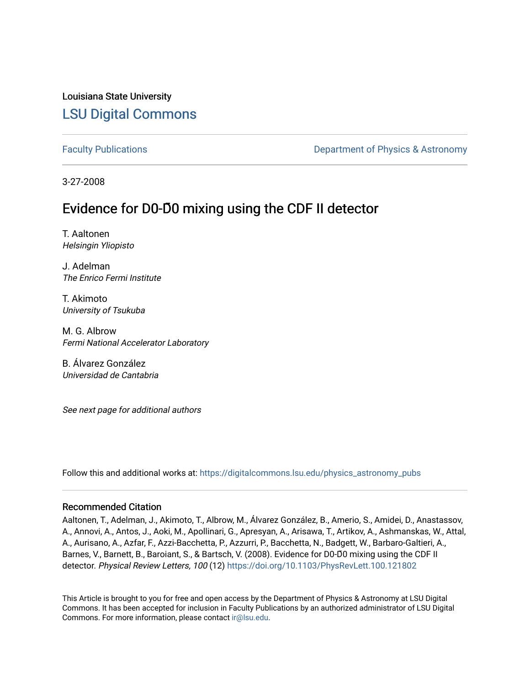## Louisiana State University [LSU Digital Commons](https://digitalcommons.lsu.edu/)

[Faculty Publications](https://digitalcommons.lsu.edu/physics_astronomy_pubs) **Example 2** Constant Department of Physics & Astronomy

3-27-2008

# Evidence for D0-D**̄**0 mixing using the CDF II detector

T. Aaltonen Helsingin Yliopisto

J. Adelman The Enrico Fermi Institute

T. Akimoto University of Tsukuba

M. G. Albrow Fermi National Accelerator Laboratory

B. Álvarez González Universidad de Cantabria

See next page for additional authors

Follow this and additional works at: [https://digitalcommons.lsu.edu/physics\\_astronomy\\_pubs](https://digitalcommons.lsu.edu/physics_astronomy_pubs?utm_source=digitalcommons.lsu.edu%2Fphysics_astronomy_pubs%2F2511&utm_medium=PDF&utm_campaign=PDFCoverPages) 

#### Recommended Citation

Aaltonen, T., Adelman, J., Akimoto, T., Albrow, M., Álvarez González, B., Amerio, S., Amidei, D., Anastassov, A., Annovi, A., Antos, J., Aoki, M., Apollinari, G., Apresyan, A., Arisawa, T., Artikov, A., Ashmanskas, W., Attal, A., Aurisano, A., Azfar, F., Azzi-Bacchetta, P., Azzurri, P., Bacchetta, N., Badgett, W., Barbaro-Galtieri, A., Barnes, V., Barnett, B., Baroiant, S., & Bartsch, V. (2008). Evidence for D0-D̄0 mixing using the CDF II detector. Physical Review Letters, 100 (12) <https://doi.org/10.1103/PhysRevLett.100.121802>

This Article is brought to you for free and open access by the Department of Physics & Astronomy at LSU Digital Commons. It has been accepted for inclusion in Faculty Publications by an authorized administrator of LSU Digital Commons. For more information, please contact [ir@lsu.edu](mailto:ir@lsu.edu).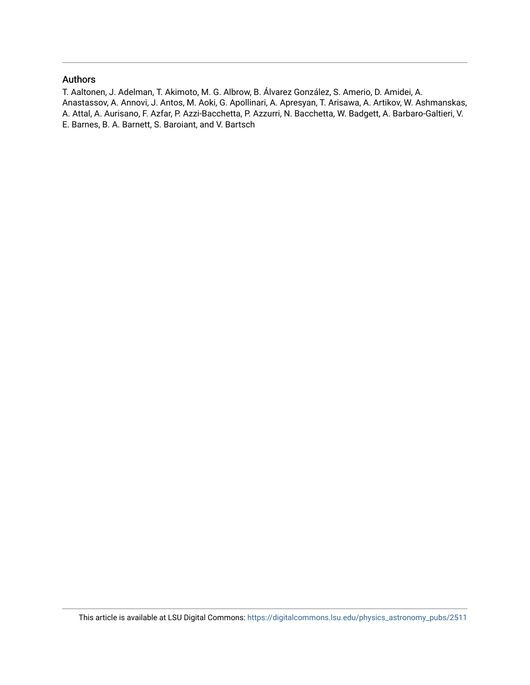#### Authors

T. Aaltonen, J. Adelman, T. Akimoto, M. G. Albrow, B. Álvarez González, S. Amerio, D. Amidei, A. Anastassov, A. Annovi, J. Antos, M. Aoki, G. Apollinari, A. Apresyan, T. Arisawa, A. Artikov, W. Ashmanskas, A. Attal, A. Aurisano, F. Azfar, P. Azzi-Bacchetta, P. Azzurri, N. Bacchetta, W. Badgett, A. Barbaro-Galtieri, V. E. Barnes, B. A. Barnett, S. Baroiant, and V. Bartsch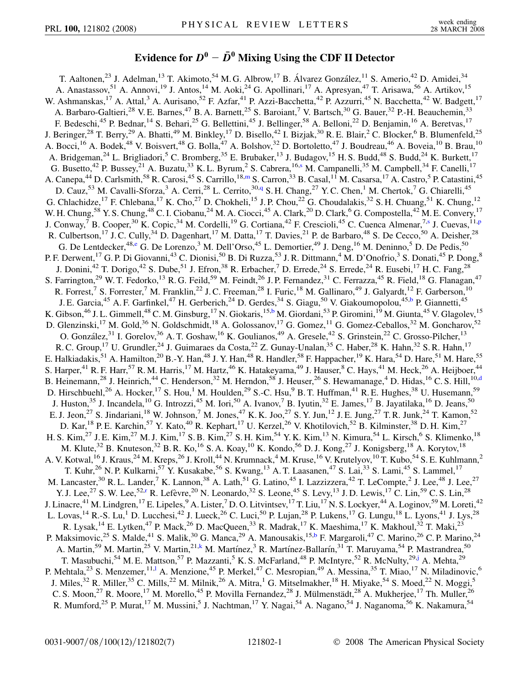### **Evidence for**  $D^0 - \overline{D}^0$  Mixing Using the CDF II Detector

<span id="page-2-9"></span><span id="page-2-8"></span><span id="page-2-7"></span><span id="page-2-6"></span><span id="page-2-5"></span><span id="page-2-4"></span><span id="page-2-3"></span><span id="page-2-2"></span><span id="page-2-1"></span><span id="page-2-0"></span>T. Aaltonen,<sup>23</sup> J. Adelman,<sup>13</sup> T. Akimoto,<sup>54</sup> M. G. Albrow,<sup>17</sup> B. Álvarez González,<sup>11</sup> S. Amerio,<sup>42</sup> D. Amidei,<sup>34</sup> A. Anastassov,<sup>51</sup> A. Annovi,<sup>19</sup> J. Antos,<sup>14</sup> M. Aoki,<sup>24</sup> G. Apollinari,<sup>17</sup> A. Apresyan,<sup>47</sup> T. Arisawa,<sup>56</sup> A. Artikov,<sup>15</sup> W. Ashmanskas,<sup>17</sup> A. Attal,<sup>3</sup> A. Aurisano,<sup>52</sup> F. Azfar,<sup>41</sup> P. Azzi-Bacchetta,<sup>42</sup> P. Azzurri,<sup>45</sup> N. Bacchetta,<sup>42</sup> W. Badgett,<sup>17</sup> A. Barbaro-Galtieri,<sup>28</sup> V. E. Barnes,<sup>47</sup> B. A. Barnett,<sup>25</sup> S. Baroiant,<sup>7</sup> V. Bartsch,<sup>30</sup> G. Bauer,<sup>32</sup> P.-H. Beauchemin,<sup>33</sup> F. Bedeschi,<sup>45</sup> P. Bednar,<sup>14</sup> S. Behari,<sup>25</sup> G. Bellettini,<sup>45</sup> J. Bellinger,<sup>58</sup> A. Belloni,<sup>22</sup> D. Benjamin,<sup>16</sup> A. Beretvas,<sup>17</sup> J. Beringer,<sup>28</sup> T. Berry,<sup>29</sup> A. Bhatti,<sup>49</sup> M. Binkley,<sup>17</sup> D. Bisello,<sup>42</sup> I. Bizjak,<sup>30</sup> R. E. Blair,<sup>2</sup> C. Blocker,<sup>6</sup> B. Blumenfeld,<sup>25</sup> A. Bocci,<sup>16</sup> A. Bodek,<sup>48</sup> V. Boisvert,<sup>48</sup> G. Bolla,<sup>47</sup> A. Bolshov,<sup>32</sup> D. Bortoletto,<sup>47</sup> J. Boudreau,<sup>46</sup> A. Boveia,<sup>10</sup> B. Brau,<sup>10</sup> A. Bridgeman,<sup>24</sup> L. Brigliadori,<sup>5</sup> C. Bromberg,<sup>35</sup> E. Brubaker,<sup>13</sup> J. Budagov,<sup>15</sup> H. S. Budd,<sup>48</sup> S. Budd,<sup>24</sup> K. Burkett,<sup>17</sup> G. Bu[s](#page-8-0)etto,<sup>42</sup> P. Bussey,<sup>21</sup> A. Buzatu,<sup>33</sup> K. L. Byrum,<sup>2</sup> S. Cabrera,<sup>16,s</sup> M. Campanelli,<sup>35</sup> M. Campbell,<sup>34</sup> F. Canelli,<sup>17</sup> A. Canepa,<sup>44</sup> D. Carlsmith,<sup>58</sup> R. Carosi,<sup>45</sup> S. Carrillo,<sup>18[,m](#page-8-1)</sup> S. Carron,<sup>33</sup> B. Casal,<sup>11</sup> M. Casarsa,<sup>17</sup> A. Castro,<sup>5</sup> P. Catastini,<sup>45</sup> D. Cauz,<sup>53</sup> M. Cavalli-Sforza,<sup>3</sup> A. Cerri,<sup>28</sup> L. Cerrito,<sup>30[,q](#page-8-2)</sup> S. H. Chang,<sup>27</sup> Y. C. Chen,<sup>1</sup> M. Chertok,<sup>7</sup> G. Chiarelli,<sup>45</sup> G. Chlachidze,<sup>17</sup> F. Chlebana,<sup>17</sup> K. Cho,<sup>27</sup> D. Chokheli,<sup>15</sup> J. P. Chou,<sup>22</sup> G. Choudalakis,<sup>32</sup> S. H. Chuang,<sup>51</sup> K. Chung,<sup>12</sup> W. H. Chung,<sup>58</sup> Y. S. Chung,<sup>48</sup> C. I. Ciobanu,<sup>24</sup> M. A. Ciocci,<sup>45</sup> A. Clark,<sup>20</sup> D. Clark,<sup>6</sup> G. Compostella,<sup>42</sup> M. E. Convery,<sup>17</sup> J. Conway,<[s](#page-8-0)up>7</sup> B. Cooper,<sup>30</sup> K. Copic,<sup>34</sup> M. Cordelli,<sup>19</sup> G. Cortiana,<sup>42</sup> F. Crescioli,<sup>45</sup> C. Cuenca Almenar,<sup>7,s</sup> J. Cuevas,<sup>11[,p](#page-8-3)</sup> R. Culbertson,<sup>17</sup> J. C. Cully,<sup>34</sup> D. Dagenhart,<sup>17</sup> M. Datta,<sup>17</sup> T. Davies,<sup>21</sup> P. de Barbaro,<sup>48</sup> S. De Cecco,<sup>50</sup> A. Deisher,<sup>28</sup> G. De Lentdecker,<sup>48[,e](#page-8-4)</sup> G. De Lorenzo,<sup>3</sup> M. Dell'Orso,<sup>45</sup> L. Demortier,<sup>49</sup> J. Deng,<sup>16</sup> M. Deninno,<sup>5</sup> D. De Pedis,<sup>50</sup> P. F. Derwent, <sup>17</sup> G. P. Di Giovanni, <sup>43</sup> C. Dionisi, <sup>50</sup> B. Di Ruzza, <sup>53</sup> J. R. Dittmann, <sup>4</sup> M. D'Onofrio, <sup>3</sup> S. Donati, <sup>45</sup> P. Dong, <sup>8</sup> J. Donini,<sup>42</sup> T. Dorigo,<sup>42</sup> S. Dube,<sup>51</sup> J. Efron,<sup>38</sup> R. Erbacher,<sup>7</sup> D. Errede,<sup>24</sup> S. Errede,<sup>24</sup> R. Eusebi,<sup>17</sup> H. C. Fang,<sup>28</sup> S. Farrington,<sup>29</sup> W. T. Fedorko,<sup>13</sup> R. G. Feild,<sup>59</sup> M. Feindt,<sup>26</sup> J. P. Fernandez,<sup>31</sup> C. Ferrazza,<sup>45</sup> R. Field,<sup>18</sup> G. Flanagan,<sup>47</sup> R. Forrest,<sup>7</sup> S. Forrester,<sup>7</sup> M. Franklin,<sup>22</sup> J. C. Freeman,<sup>28</sup> I. Furic,<sup>18</sup> M. Gallinaro,<sup>49</sup> J. Galyardt,<sup>12</sup> F. Garberson,<sup>10</sup> J. E. Garcia,<sup>45</sup> A. F. Garfinkel,<sup>47</sup> H. Ger[b](#page-8-5)erich,<sup>24</sup> D. Gerdes,<sup>34</sup> S. Giagu,<sup>50</sup> V. Giakoumopolou,<sup>45,b</sup> P. Giannetti,<sup>45</sup> K. Gi[b](#page-8-5)son,<sup>46</sup> J. L. Gimmell,<sup>48</sup> C. M. Ginsburg,<sup>17</sup> N. Giokaris,<sup>15,b</sup> M. Giordani,<sup>53</sup> P. Giromini,<sup>19</sup> M. Giunta,<sup>45</sup> V. Glagolev,<sup>15</sup> D. Glenzinski,<sup>17</sup> M. Gold,<sup>36</sup> N. Goldschmidt,<sup>18</sup> A. Golossanov,<sup>17</sup> G. Gomez,<sup>11</sup> G. Gomez-Ceballos,<sup>32</sup> M. Goncharov,<sup>52</sup> O. González,<sup>31</sup> I. Gorelov,<sup>36</sup> A. T. Goshaw,<sup>16</sup> K. Goulianos,<sup>49</sup> A. Gresele,<sup>42</sup> S. Grinstein,<sup>22</sup> C. Grosso-Pilcher,<sup>13</sup> R. C. Group,<sup>17</sup> U. Grundler,<sup>24</sup> J. Guimaraes da Costa,<sup>22</sup> Z. Gunay-Unalan,<sup>35</sup> C. Haber,<sup>28</sup> K. Hahn,<sup>32</sup> S. R. Hahn,<sup>17</sup> E. Halkiadakis,<sup>51</sup> A. Hamilton,<sup>20</sup> B.-Y. Han,<sup>48</sup> J. Y. Han,<sup>48</sup> R. Handler,<sup>58</sup> F. Happacher,<sup>19</sup> K. Hara,<sup>54</sup> D. Hare,<sup>51</sup> M. Hare,<sup>55</sup> S. Harper,<sup>41</sup> R. F. Harr,<sup>57</sup> R. M. Harris,<sup>17</sup> M. Hartz,<sup>46</sup> K. Hatakeyama,<sup>49</sup> J. Hauser,<sup>8</sup> C. Hays,<sup>41</sup> M. Heck,<sup>26</sup> A. Heijboer,<sup>44</sup> B. Heinemann,<sup>28</sup> J. Heinrich,<sup>44</sup> C. Henderson,<sup>32</sup> M. Herndon,<sup>58</sup> J. Heuser,<sup>26</sup> S. Hewamanage,<sup>4</sup> D. Hidas,<sup>16</sup> C. S. Hill,<sup>10[,d](#page-8-6)</sup> D. Hirschbuehl,<sup>26</sup> A. Hocker,<sup>17</sup> S. Hou,<sup>1</sup> M. Houlden,<sup>29</sup> S.-C. Hsu,<sup>9</sup> B. T. Huffman,<sup>41</sup> R. E. Hughes,<sup>38</sup> U. Husemann,<sup>59</sup> J. Huston,<sup>35</sup> J. Incandela,<sup>10</sup> G. Introzzi,<sup>45</sup> M. Iori,<sup>50</sup> A. Ivanov,<sup>7</sup> B. Iyutin,<sup>32</sup> E. James,<sup>17</sup> B. Jayatilaka,<sup>16</sup> D. Jeans,<sup>50</sup> E. J. Jeon,<sup>27</sup> S. Jindariani,<sup>18</sup> W. Johnson,<sup>7</sup> M. Jones,<sup>47</sup> K. K. Joo,<sup>27</sup> S. Y. Jun,<sup>12</sup> J. E. Jung,<sup>27</sup> T. R. Junk,<sup>24</sup> T. Kamon,<sup>52</sup> D. Kar, <sup>18</sup> P. E. Karchin, <sup>57</sup> Y. Kato, <sup>40</sup> R. Kephart, <sup>17</sup> U. Kerzel, <sup>26</sup> V. Khotilovich, <sup>52</sup> B. Kilminster, <sup>38</sup> D. H. Kim, <sup>27</sup> H. S. Kim,<sup>27</sup> J. E. Kim,<sup>27</sup> M. J. Kim,<sup>17</sup> S. B. Kim,<sup>27</sup> S. H. Kim,<sup>54</sup> Y. K. Kim,<sup>13</sup> N. Kimura,<sup>54</sup> L. Kirsch,<sup>6</sup> S. Klimenko,<sup>18</sup> M. Klute,<sup>32</sup> B. Knuteson,<sup>32</sup> B. R. Ko,<sup>16</sup> S. A. Koay,<sup>10</sup> K. Kondo,<sup>56</sup> D. J. Kong,<sup>27</sup> J. Konigsberg,<sup>18</sup> A. Korytov,<sup>18</sup> A. V. Kotwal, <sup>16</sup> J. Kraus, <sup>24</sup> M. Kreps, <sup>26</sup> J. Kroll, <sup>44</sup> N. Krumnack, <sup>4</sup> M. Kruse, <sup>16</sup> V. Krutelyov, <sup>10</sup> T. Kubo, <sup>54</sup> S. E. Kuhlmann, <sup>2</sup> T. Kuhr,<sup>26</sup> N. P. Kulkarni,<sup>57</sup> Y. Kusakabe,<sup>56</sup> S. Kwang,<sup>13</sup> A. T. Laasanen,<sup>47</sup> S. Lai,<sup>33</sup> S. Lami,<sup>45</sup> S. Lammel,<sup>17</sup> M. Lancaster,<sup>30</sup> R. L. Lander,<sup>7</sup> K. Lannon,<sup>38</sup> A. Lath,<sup>51</sup> G. Latino,<sup>45</sup> I. Lazzizzera,<sup>42</sup> T. LeCompte,<sup>2</sup> J. Lee,<sup>48</sup> J. Lee,<sup>27</sup> Y. J. Lee,<sup>27</sup> S. W. Lee,<sup>52[,r](#page-8-7)</sup> R. Lefèvre,<sup>20</sup> N. Leonardo,<sup>32</sup> S. Leone,<sup>45</sup> S. Levy,<sup>13</sup> J. D. Lewis,<sup>17</sup> C. Lin,<sup>59</sup> C. S. Lin,<sup>28</sup> J. Linacre,<sup>41</sup> M. Lindgren,<sup>17</sup> E. Lipeles,<sup>9</sup> A. Lister,<sup>7</sup> D. O. Litvintsev,<sup>17</sup> T. Liu,<sup>17</sup> N. S. Lockyer,<sup>44</sup> A. Loginov,<sup>59</sup> M. Loreti,<sup>42</sup> L. Lovas, <sup>14</sup> R.-S. Lu, <sup>1</sup> D. Lucchesi, <sup>42</sup> J. Lueck, <sup>26</sup> C. Luci, <sup>50</sup> P. Lujan, <sup>28</sup> P. Lukens, <sup>17</sup> G. Lungu, <sup>18</sup> L. Lyons, <sup>41</sup> J. Lys, <sup>28</sup> R. Lysak,<sup>14</sup> E. Lytken,<sup>47</sup> P. Mack,<sup>26</sup> D. MacQueen,<sup>33</sup> R. Madrak,<sup>17</sup> K. Maeshima,<sup>17</sup> K. Makhoul,<sup>32</sup> T. Maki,<sup>23</sup> P. Maksimovic,<sup>25</sup> S. Malde,<sup>41</sup> S. Malik,<sup>30</sup> G. Manca,<sup>29</sup> A. Manousakis,<sup>15,[b](#page-8-5)</sup> F. Margaroli,<sup>47</sup> C. Marino,<sup>26</sup> C. P. Marino,<sup>24</sup> A. Martin,<sup>59</sup> M. Martin,<sup>25</sup> V. Martin,<sup>21,[k](#page-8-8)</sup> M. Martínez,<sup>3</sup> R. Martínez-Ballarín,<sup>31</sup> T. Maruyama,<sup>54</sup> P. Mastrandrea,<sup>50</sup> T. Masubuchi,<sup>54</sup> M. E. Mattson,<sup>57</sup> P. Mazzanti,<sup>5</sup> K. S. McFarland,<sup>48</sup> P. McIntyre,<sup>52</sup> R. McNulty,<sup>29[,j](#page-8-9)</sup> A. Mehta,<sup>29</sup> P. Mehta[l](#page-8-10)a,<sup>23</sup> S. Menzemer,<sup>11,1</sup> A. Menzione,<sup>45</sup> P. Merkel,<sup>47</sup> C. Mesropian,<sup>49</sup> A. Messina,<sup>35</sup> T. Miao,<sup>17</sup> N. Miladinovic,<sup>6</sup> J. Miles,<sup>32</sup> R. Miller,<sup>35</sup> C. Mills,<sup>22</sup> M. Milnik,<sup>26</sup> A. Mitra,<sup>1</sup> G. Mitselmakher,<sup>18</sup> H. Miyake,<sup>54</sup> S. Moed,<sup>22</sup> N. Moggi,<sup>5</sup> C. S. Moon,<sup>27</sup> R. Moore,<sup>17</sup> M. Morello,<sup>45</sup> P. Movilla Fernandez,<sup>28</sup> J. Mülmenstädt,<sup>28</sup> A. Mukherjee,<sup>17</sup> Th. Muller,<sup>26</sup> R. Mumford,<sup>25</sup> P. Murat,<sup>17</sup> M. Mussini,<sup>5</sup> J. Nachtman,<sup>17</sup> Y. Nagai,<sup>54</sup> A. Nagano,<sup>54</sup> J. Naganoma,<sup>56</sup> K. Nakamura,<sup>54</sup>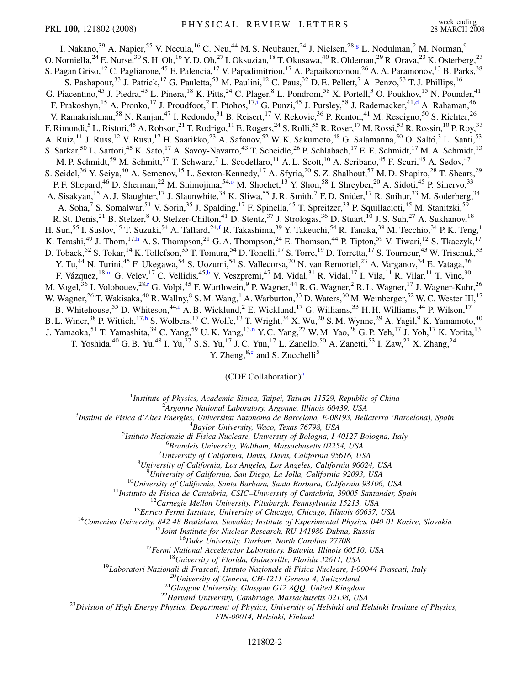<span id="page-3-7"></span><span id="page-3-5"></span><span id="page-3-3"></span>I. Nakano,<sup>39</sup> A. Napier,<sup>55</sup> V. Necula,<sup>16</sup> C. Neu,<sup>44</sup> M. S. Neubauer,<sup>24</sup> J. Nielsen,<sup>28[,g](#page-8-11)</sup> L. Nodulman,<sup>2</sup> M. Norman,<sup>9</sup> O. Norniella,<sup>24</sup> E. Nurse,<sup>30</sup> S. H. Oh,<sup>16</sup> Y. D. Oh,<sup>27</sup> I. Oksuzian,<sup>18</sup> T. Okusawa,<sup>40</sup> R. Oldeman,<sup>29</sup> R. Orava,<sup>23</sup> K. Osterberg,<sup>23</sup> S. Pagan Griso,<sup>42</sup> C. Pagliarone,<sup>45</sup> E. Palencia,<sup>17</sup> V. Papadimitriou,<sup>17</sup> A. Papaikonomou,<sup>26</sup> A. A. Paramonov,<sup>13</sup> B. Parks,<sup>38</sup> S. Pashapour,<sup>33</sup> J. Patrick,<sup>17</sup> G. Pauletta,<sup>53</sup> M. Paulini,<sup>12</sup> C. Paus,<sup>32</sup> D. E. Pellett,<sup>7</sup> A. Penzo,<sup>53</sup> T. J. Phillips,<sup>16</sup> G. Piacentino,<sup>45</sup> J. Piedra,<sup>43</sup> L. Pinera,<sup>18</sup> K. Pitts,<sup>24</sup> C. Plager,<sup>8</sup> L. Pondrom,<sup>58</sup> X. Portell,<sup>3</sup> O. Poukhov,<sup>15</sup> N. Pounder,<sup>41</sup> F. Prakoshyn,<sup>15</sup> A. Pronko,<sup>17</sup> J. Proudfoot,<sup>2</sup> F. Ptohos,<sup>17[,i](#page-8-12)</sup> G. Punzi,<sup>45</sup> J. Pursley,<sup>58</sup> J. Rademacker,<sup>41[,d](#page-8-6)</sup> A. Rahaman,<sup>46</sup> V. Ramakrishnan,<sup>58</sup> N. Ranjan,<sup>47</sup> I. Redondo,<sup>31</sup> B. Reisert,<sup>17</sup> V. Rekovic,<sup>36</sup> P. Renton,<sup>41</sup> M. Rescigno,<sup>50</sup> S. Richter,<sup>26</sup> F. Rimondi,<sup>5</sup> L. Ristori,<sup>45</sup> A. Robson,<sup>21</sup> T. Rodrigo,<sup>11</sup> E. Rogers,<sup>24</sup> S. Rolli,<sup>55</sup> R. Roser,<sup>17</sup> M. Rossi,<sup>53</sup> R. Rossin,<sup>10</sup> P. Roy,<sup>33</sup> A. Ruiz,<sup>11</sup> J. Russ,<sup>12</sup> V. Rusu,<sup>17</sup> H. Saarikko,<sup>23</sup> A. Safonov,<sup>52</sup> W. K. Sakumoto,<sup>48</sup> G. Salamanna,<sup>50</sup> O. Saltó,<sup>3</sup> L. Santi,<sup>53</sup> S. Sarkar,<sup>50</sup> L. Sartori,<sup>45</sup> K. Sato,<sup>17</sup> A. Savoy-Navarro,<sup>43</sup> T. Scheidle,<sup>26</sup> P. Schlabach,<sup>17</sup> E. E. Schmidt,<sup>17</sup> M. A. Schmidt,<sup>13</sup> M. P. Schmidt,<sup>59</sup> M. Schmitt,<sup>37</sup> T. Schwarz,<sup>7</sup> L. Scodellaro,<sup>11</sup> A. L. Scott,<sup>10</sup> A. Scribano,<sup>45</sup> F. Scuri,<sup>45</sup> A. Sedov,<sup>47</sup> S. Seidel,<sup>36</sup> Y. Seiya,<sup>40</sup> A. Semenov,<sup>15</sup> L. Sexton-Kennedy,<sup>17</sup> A. Sfyria,<sup>20</sup> S. Z. Shalhout,<sup>57</sup> M. D. Shapiro,<sup>28</sup> T. Shears,<sup>29</sup> P. F. Shepard,<sup>46</sup> D. Sherman,<sup>22</sup> M. Shimojima,<sup>54[,o](#page-8-13)</sup> M. Shochet,<sup>13</sup> Y. Shon,<sup>58</sup> I. Shreyber,<sup>20</sup> A. Sidoti,<sup>45</sup> P. Sinervo,<sup>33</sup> A. Sisakyan,<sup>15</sup> A. J. Slaughter,<sup>17</sup> J. Slaunwhite,<sup>38</sup> K. Sliwa,<sup>55</sup> J. R. Smith,<sup>7</sup> F. D. Snider,<sup>17</sup> R. Snihur,<sup>33</sup> M. Soderberg,<sup>34</sup> A. Soha,<sup>7</sup> S. Somalwar,<sup>51</sup> V. Sorin,<sup>35</sup> J. Spalding,<sup>17</sup> F. Spinella,<sup>45</sup> T. Spreitzer,<sup>33</sup> P. Squillacioti,<sup>45</sup> M. Stanitzki,<sup>59</sup> R. St. Denis,  $^{21}$  B. Stelzer,  $^8$  O. Stelzer-Chilton,  $^{41}$  D. Stentz,  $^{37}$  J. Strologas,  $^{36}$  D. Stuart,  $^{10}$  J. S. Suh,  $^{27}$  A. Sukhanov,  $^{18}$ H. Sun,<sup>55</sup> I. Suslov,<sup>15</sup> T. Suzuki,<sup>54</sup> A. Ta[f](#page-8-14)fard,<sup>24,f</sup> R. Takashima,<sup>39</sup> Y. Takeuchi,<sup>54</sup> R. Tanaka,<sup>39</sup> M. Tecchio,<sup>34</sup> P. K. Teng,<sup>1</sup> K. Terashi,<sup>49</sup> J. Thom,<sup>17[,h](#page-8-15)</sup> A. S. Thompson,<sup>21</sup> G. A. Thompson,<sup>24</sup> E. Thomson,<sup>44</sup> P. Tipton,<sup>59</sup> V. Tiwari,<sup>12</sup> S. Tkaczyk,<sup>17</sup> D. Toback,<sup>52</sup> S. Tokar,<sup>14</sup> K. Tollefson,<sup>35</sup> T. Tomura,<sup>54</sup> D. Tonelli,<sup>17</sup> S. Torre,<sup>19</sup> D. Torretta,<sup>17</sup> S. Tourneur,<sup>43</sup> W. Trischuk,<sup>33</sup> Y. Tu,<sup>44</sup> N. Turini,<sup>45</sup> F. Ukegawa,<sup>54</sup> S. Uozumi,<sup>54</sup> S. Vallecorsa,<sup>20</sup> N. van Remortel,<sup>23</sup> A. Varganov,<sup>34</sup> E. Vataga,<sup>36</sup> F. Vázquez,  $^{18,m}$  $^{18,m}$  $^{18,m}$  G. Velev,  $^{17}$  C. Vellidis,  $^{45,b}$  $^{45,b}$  $^{45,b}$  V. Veszpremi,  $^{47}$  M. Vidal,  $^{31}$  R. Vidal,  $^{17}$  I. Vila,  $^{11}$  R. Vilar,  $^{11}$  T. Vine,  $^{30}$ M. Vogel,<sup>36</sup> I. Volobouev,<sup>28,[r](#page-8-7)</sup> G. Volpi,<sup>45</sup> F. Würthwein,<sup>9</sup> P. Wagner,<sup>44</sup> R. G. Wagner,<sup>2</sup> R. L. Wagner,<sup>17</sup> J. Wagner-Kuhr,<sup>26</sup> W. Wagner,<sup>26</sup> T. Wakisaka,<sup>40</sup> R. Wallny,<sup>8</sup> S. M. Wang,<sup>1</sup> A. Warburton,<sup>33</sup> D. Waters,<sup>30</sup> M. Weinberger,<sup>52</sup> W. C. Wester III,<sup>17</sup> B. Whitehouse,<sup>55</sup> D. Whiteson,<sup>44,[f](#page-8-14)</sup> A. B. Wicklund,<sup>2</sup> E. Wicklund,<sup>17</sup> G. Williams,<sup>33</sup> H. H. Williams,<sup>44</sup> P. Wilson,<sup>17</sup> B. L. Winer,<sup>38</sup> P. Wittich,<sup>17[,h](#page-8-15)</sup> S. Wolbers,<sup>17</sup> C. Wolfe,<sup>13</sup> T. Wright,<sup>34</sup> X. Wu,<sup>20</sup> S. M. Wynne,<sup>29</sup> A. Yagil,<sup>9</sup> K. Yamamoto,<sup>40</sup> J. Yamaoka,<sup>51</sup> T. Yamashita,<sup>39</sup> C. Ya[n](#page-8-16)g,<sup>59</sup> U.K. Yang,<sup>13,n</sup> Y.C. Yang,<sup>27</sup> W.M. Yao,<sup>28</sup> G.P. Yeh,<sup>17</sup> J. Yoh,<sup>17</sup> K. Yorita,<sup>13</sup> T. Yoshida,<sup>40</sup> G. B. Yu,<sup>48</sup> I. Yu,<sup>27</sup> S. S. Yu,<sup>17</sup> J. C. Yun,<sup>17</sup> L. Zanello,<sup>50</sup> A. Zanetti,<sup>53</sup> I. Zaw,<sup>22</sup> X. Zhang,<sup>24</sup>

Y. Zheng,  $8, c$  $8, c$  and S. Zucchelli<sup>5</sup>

#### (CDF Coll[a](#page-8-18)boration)<sup>a</sup>

<sup>1</sup>*Institute of Physics, Academia Sinica, Taipei, Taiwan 11529, Republic of China*<br><sup>2</sup><sup>4</sup> *League Mational Laboratory, Argonna Illinois 60430, USA* 

*Argonne National Laboratory, Argonne, Illinois 60439, USA* <sup>3</sup>

<span id="page-3-6"></span><span id="page-3-4"></span><span id="page-3-2"></span><span id="page-3-1"></span><span id="page-3-0"></span>*Institut de Fisica d'Altes Energies, Universitat Autonoma de Barcelona, E-08193, Bellaterra (Barcelona), Spain* <sup>4</sup>

<sup>4</sup>Baylor University, Waco, Texas 76798, USA<br><sup>5</sup> Istitute Nazionale di Fisica Nucleare, University of Bologna, La

*Istituto Nazionale di Fisica Nucleare, University of Bologna, I-40127 Bologna, Italy* <sup>6</sup>

*Brandeis University, Waltham, Massachusetts 02254, USA* <sup>7</sup>

*University of California, Davis, Davis, California 95616, USA* <sup>8</sup>

*University of California, Los Angeles, Los Angeles, California 90024, USA* <sup>9</sup>

<sup>9</sup>University of California, San Diego, La Jolla, California 92093, USA<br><sup>10</sup>University of California, Santa Barbara, Santa Barbara, California 93106, USA<br><sup>11</sup>Instituto de Fisica de Cantabria, CSIC-University of Cantabria,

*FIN-00014, Helsinki, Finland*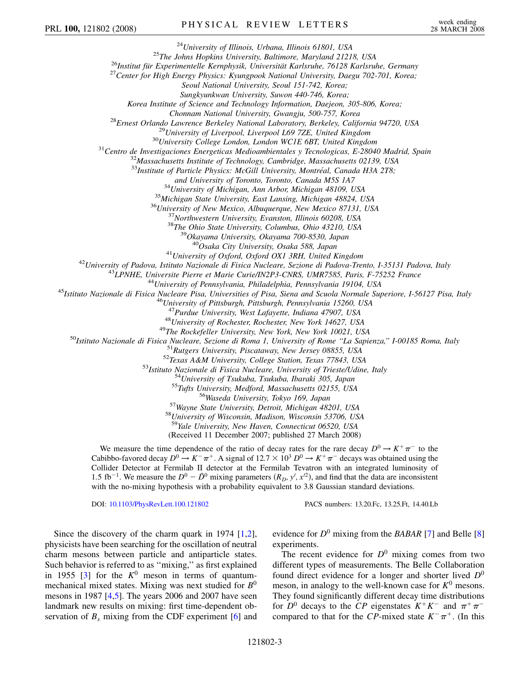<sup>24</sup>University of Illinois, Urbana, Illinois 61801, USA<br><sup>25</sup>The Johns Hopkins University, Baltimore, Maryland 21218, USA<br><sup>26</sup>Institut für Experimentelle Kernphysik, Universität Karlsruhe, 76128 Karlsruhe, Germany<br><sup>27</sup>Cent

*Seoul National University, Seoul 151-742, Korea;*

*Sungkyunkwan University, Suwon 440-746, Korea;*

*Korea Institute of Science and Technology Information, Daejeon, 305-806, Korea;*

Chonnam National University, Gwangju, 500-757, Korea<br><sup>28</sup>Ernest Orlando Lawrence Berkeley National Laboratory, Berkeley, California 94720, USA<br><sup>29</sup>University of Liverpool, Liverpool L69 7ZE, United Kingdom<br><sup>30</sup>University

<sup>33</sup>Institute of Particle Physics: McGill University, Montréal, Canada H3A 2T8;

and University of Toronto, Toronto, Canada M5S 1A7<br><sup>34</sup>University of Michigan, Ann Arbor, Michigan 48109, USA<br><sup>35</sup>Michigan State University, East Lansing, Michigan 48824, USA<br><sup>36</sup>University of New Mexico, Albuquerque, New

<sup>41</sup>University of Oxford, Oxford OX1 3RH, United Kingdom<br><sup>42</sup>University of Padova, Istituto Nazionale di Fisica Nucleare, Sezione di Padova-Trento, I-35131 Padova, Italy<br><sup>43</sup>LPNHE, Universite Pierre et Marie Curie/IN2P3-C

<sup>47</sup>Purdue University, West Lafayette, Indiana 47907, USA<br><sup>48</sup>University of Rochester, Rochester, New York 14627, USA<br><sup>48</sup>University of Rochester, Rochester, New York 14627, USA<br><sup>50</sup>Ustituto Nazionale di Fisica Nucleare,

<sup>59</sup>*Yale University, New Haven, Connecticut 06520, USA*

(Received 11 December 2007; published 27 March 2008)

We measure the time dependence of the ratio of decay rates for the rare decay  $D^0 \rightarrow K^+ \pi^-$  to the Cabibbo-favored decay  $D^0 \to K^-\pi^+$ . A signal of  $12.7 \times 10^3$   $D^0 \to K^+\pi^-$  decays was obtained using the Collider Detector at Fermilab II detector at the Fermilab Tevatron with an integrated luminosity of 1.5 fb<sup>-1</sup>. We measure the  $D^0 - \bar{D}^0$  mixing parameters  $(R_D, y', x'^2)$ , and find that the data are inconsistent with the no-mixing hypothesis with a probability equivalent to 3.8 Gaussian standard deviations.

DOI: [10.1103/PhysRevLett.100.121802](http://dx.doi.org/10.1103/PhysRevLett.100.121802) PACS numbers: 13.20.Fc, 13.25.Ft, 14.40.Lb

Since the discovery of the charm quark in 1974 [[1](#page-8-19),[2\]](#page-8-20), physicists have been searching for the oscillation of neutral charm mesons between particle and antiparticle states. Such behavior is referred to as ''mixing,'' as first explained in 1955 [\[3\]](#page-8-21) for the  $K^0$  meson in terms of quantummechanical mixed states. Mixing was next studied for *B*<sup>0</sup> mesons in 1987 [\[4,](#page-8-22)[5](#page-8-23)]. The years 2006 and 2007 have seen landmark new results on mixing: first time-dependent observation of  $B_s$  mixing from the CDF experiment  $[6]$  $[6]$  $[6]$  and evidence for  $D^0$  mixing from the *BABAR* [[7\]](#page-8-25) and Belle [\[8\]](#page-8-26) experiments.

The recent evidence for  $D^0$  mixing comes from two different types of measurements. The Belle Collaboration found direct evidence for a longer and shorter lived  $D^0$ meson, in analogy to the well-known case for  $K^0$  mesons. They found significantly different decay time distributions for  $D^0$  decays to the *CP* eigenstates  $K^+K^-$  and  $\pi^+\pi^$ compared to that for the *CP*-mixed state  $K^-\pi^+$ . (In this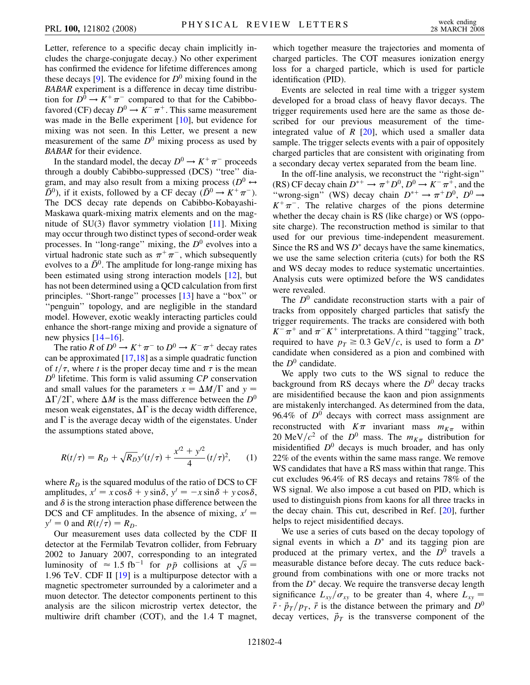Letter, reference to a specific decay chain implicitly includes the charge-conjugate decay.) No other experiment has confirmed the evidence for lifetime differences among these decays  $[9]$  $[9]$  $[9]$ . The evidence for  $D^0$  mixing found in the *BABAR* experiment is a difference in decay time distribution for  $D^0 \to K^+ \pi^-$  compared to that for the Cabibbofavored (CF) decay  $D^0 \to K^- \pi^+$ . This same measurement was made in the Belle experiment [[10](#page-8-28)], but evidence for mixing was not seen. In this Letter, we present a new measurement of the same  $D^0$  mixing process as used by *BABAR* for their evidence.

In the standard model, the decay  $D^0 \to K^+ \pi^-$  proceeds through a doubly Cabibbo-suppressed (DCS) ''tree'' diagram, and may also result from a mixing process ( $D^0 \leftrightarrow$  $\overline{D}^{0}$ ), if it exists, followed by a CF decay  $(D^{0} \rightarrow K^{+} \pi^{-})$ . The DCS decay rate depends on Cabibbo-Kobayashi-Maskawa quark-mixing matrix elements and on the magnitude of  $SU(3)$  flavor symmetry violation [\[11\]](#page-8-29). Mixing may occur through two distinct types of second-order weak processes. In ''long-range'' mixing, the *D*<sup>0</sup> evolves into a virtual hadronic state such as  $\pi^+\pi^-$ , which subsequently evolves to a  $\bar{D}^0$ . The amplitude for long-range mixing has been estimated using strong interaction models [\[12\]](#page-8-30), but has not been determined using a QCD calculation from first principles. ''Short-range'' processes [\[13\]](#page-8-31) have a ''box'' or "penguin" topology, and are negligible in the standard model. However, exotic weakly interacting particles could enhance the short-range mixing and provide a signature of new physics  $[14–16]$  $[14–16]$  $[14–16]$  $[14–16]$ .

The ratio *R* of  $D^0 \to K^+ \pi^-$  to  $D^0 \to K^- \pi^+$  decay rates can be approximated [\[17](#page-8-34)[,18\]](#page-8-35) as a simple quadratic function of  $t/\tau$ , where *t* is the proper decay time and  $\tau$  is the mean *D*<sup>0</sup> lifetime. This form is valid assuming *CP* conservation and small values for the parameters  $x = \Delta M/\Gamma$  and  $y =$  $\Delta\Gamma/2\Gamma$ , where  $\Delta M$  is the mass difference between the  $D^0$ meson weak eigenstates,  $\Delta\Gamma$  is the decay width difference, and  $\Gamma$  is the average decay width of the eigenstates. Under the assumptions stated above,

<span id="page-5-0"></span>
$$
R(t/\tau) = R_D + \sqrt{R_D}y'(t/\tau) + \frac{x'^2 + y'^2}{4}(t/\tau)^2, \qquad (1)
$$

where  $R_D$  is the squared modulus of the ratio of DCS to CF amplitudes,  $x' = x \cos \delta + y \sin \delta$ ,  $y' = -x \sin \delta + y \cos \delta$ , and  $\delta$  is the strong interaction phase difference between the DCS and CF amplitudes. In the absence of mixing,  $x' =$  $y' = 0$  and  $R(t/\tau) = R_D$ .

Our measurement uses data collected by the CDF II detector at the Fermilab Tevatron collider, from February 2002 to January 2007, corresponding to an integrated 2002 to January 2007, corresponding to an integrated<br>luminosity of  $\approx 1.5$  fb<sup>-1</sup> for  $p\bar{p}$  collisions at  $\sqrt{s} =$ 1*:*96 TeV. CDF II [[19](#page-8-36)] is a multipurpose detector with a magnetic spectrometer surrounded by a calorimeter and a muon detector. The detector components pertinent to this analysis are the silicon microstrip vertex detector, the multiwire drift chamber (COT), and the 1.4 T magnet, which together measure the trajectories and momenta of charged particles. The COT measures ionization energy loss for a charged particle, which is used for particle identification (PID).

Events are selected in real time with a trigger system developed for a broad class of heavy flavor decays. The trigger requirements used here are the same as those described for our previous measurement of the timeintegrated value of  $R$  [\[20\]](#page-8-37), which used a smaller data sample. The trigger selects events with a pair of oppositely charged particles that are consistent with originating from a secondary decay vertex separated from the beam line.

In the off-line analysis, we reconstruct the ''right-sign'' (RS) CF decay chain  $D^{*+} \to \pi^+ D^0$ ,  $D^0 \to K^- \pi^+$ , and the "wrong-sign" (WS) decay chain  $D^{*+} \to \pi^+ D^0$ ,  $D^0 \to$  $K^+\pi^-$ . The relative charges of the pions determine whether the decay chain is RS (like charge) or WS (opposite charge). The reconstruction method is similar to that used for our previous time-independent measurement. Since the RS and WS  $D^*$  decays have the same kinematics, we use the same selection criteria (cuts) for both the RS and WS decay modes to reduce systematic uncertainties. Analysis cuts were optimized before the WS candidates were revealed.

The  $D<sup>0</sup>$  candidate reconstruction starts with a pair of tracks from oppositely charged particles that satisfy the trigger requirements. The tracks are considered with both  $K^-\pi^+$  and  $\pi^-K^+$  interpretations. A third "tagging" track, required to have  $p_T \geq 0.3 \text{ GeV}/c$ , is used to form a  $D^*$ candidate when considered as a pion and combined with the  $D^0$  candidate.

We apply two cuts to the WS signal to reduce the background from RS decays where the  $D^0$  decay tracks are misidentified because the kaon and pion assignments are mistakenly interchanged. As determined from the data,  $96.4\%$  of  $D^0$  decays with correct mass assignment are reconstructed with  $K\pi$  invariant mass  $m_{K\pi}$  within 20 MeV/ $c^2$  of the  $D^0$  mass. The  $m_{K\pi}$  distribution for misidentified  $D^0$  decays is much broader, and has only 22% of the events within the same mass range. We remove WS candidates that have a RS mass within that range. This cut excludes 96.4% of RS decays and retains 78% of the WS signal. We also impose a cut based on PID, which is used to distinguish pions from kaons for all three tracks in the decay chain. This cut, described in Ref. [\[20\]](#page-8-37), further helps to reject misidentified decays.

We use a series of cuts based on the decay topology of signal events in which a  $D^*$  and its tagging pion are produced at the primary vertex, and the  $D<sup>0</sup>$  travels a measurable distance before decay. The cuts reduce background from combinations with one or more tracks not from the  $D^*$  decay. We require the transverse decay length significance  $L_{xy}/\sigma_{xy}$  to be greater than 4, where  $L_{xy}$  $\vec{r} \cdot \vec{p}_T/p_T$ ,  $\vec{r}$  is the distance between the primary and  $D^0$ decay vertices,  $\vec{p}_T$  is the transverse component of the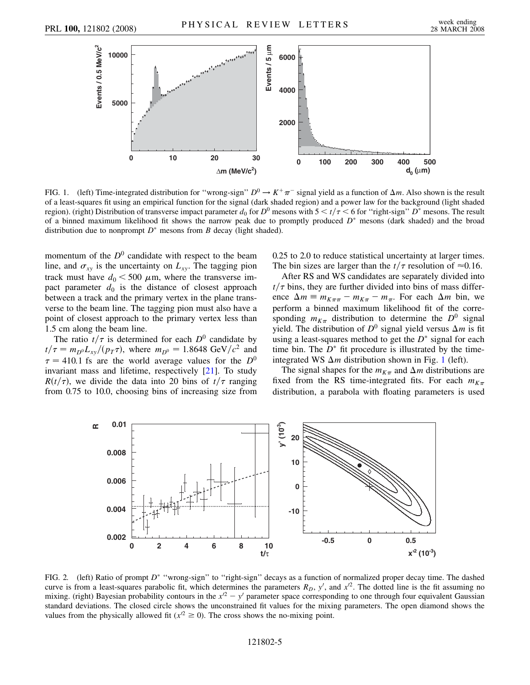<span id="page-6-0"></span>

FIG. 1. (left) Time-integrated distribution for "wrong-sign"  $D^0 \to K^+\pi^-$  signal yield as a function of  $\Delta m$ . Also shown is the result of a least-squares fit using an empirical function for the signal (dark shaded region) and a power law for the background (light shaded region). (right) Distribution of transverse impact parameter  $d_0$  for  $D^0$  mesons with  $5 < t/\tau < 6$  for "right-sign"  $D^*$  mesons. The result of a binned maximum likelihood fit shows the narrow peak due to promptly produced  $D^*$  mesons (dark shaded) and the broad distribution due to nonprompt  $D^*$  mesons from *B* decay (light shaded).

momentum of the  $D^0$  candidate with respect to the beam line, and  $\sigma_{xy}$  is the uncertainty on  $L_{xy}$ . The tagging pion track must have  $d_0 < 500 \mu$ m, where the transverse impact parameter  $d_0$  is the distance of closest approach between a track and the primary vertex in the plane transverse to the beam line. The tagging pion must also have a point of closest approach to the primary vertex less than 1.5 cm along the beam line.

The ratio  $t/\tau$  is determined for each  $D^0$  candidate by  $t/\tau = m_{D^0} L_{xy}/(p_T \tau)$ , where  $m_{D^0} = 1.8648 \text{ GeV}/c^2$  and  $\tau = 410.1$  fs are the world average values for the  $D^0$ invariant mass and lifetime, respectively [[21\]](#page-8-38). To study  $R(t/\tau)$ , we divide the data into 20 bins of  $t/\tau$  ranging from 0.75 to 10.0, choosing bins of increasing size from 0.25 to 2.0 to reduce statistical uncertainty at larger times. The bin sizes are larger than the  $t/\tau$  resolution of  $\approx 0.16$ .

After RS and WS candidates are separately divided into  $t/\tau$  bins, they are further divided into bins of mass difference  $\Delta m \equiv m_{K\pi\pi} - m_{K\pi} - m_{\pi}$ . For each  $\Delta m$  bin, we perform a binned maximum likelihood fit of the corresponding  $m_{K\pi}$  distribution to determine the  $D^0$  signal yield. The distribution of  $D^0$  signal yield versus  $\Delta m$  is fit using a least-squares method to get the  $D^*$  signal for each time bin. The  $D^*$  fit procedure is illustrated by the timeintegrated WS  $\Delta m$  distribution shown in Fig. [1](#page-6-0) (left).

The signal shapes for the  $m_{K_{\pi}}$  and  $\Delta m$  distributions are fixed from the RS time-integrated fits. For each  $m_{K_{\pi}}$ distribution, a parabola with floating parameters is used

<span id="page-6-1"></span>

FIG. 2. (left) Ratio of prompt *D*<sup>\*</sup> "wrong-sign" to "right-sign" decays as a function of normalized proper decay time. The dashed curve is from a least-squares parabolic fit, which determines the parameters  $R_D$ ,  $y'$ , and  $x'^2$ . The dotted line is the fit assuming no mixing. (right) Bayesian probability contours in the  $x^2 - y'$  parameter space corresponding to one through four equivalent Gaussian standard deviations. The closed circle shows the unconstrained fit values for the mixing parameters. The open diamond shows the values from the physically allowed fit ( $x^{2} \ge 0$ ). The cross shows the no-mixing point.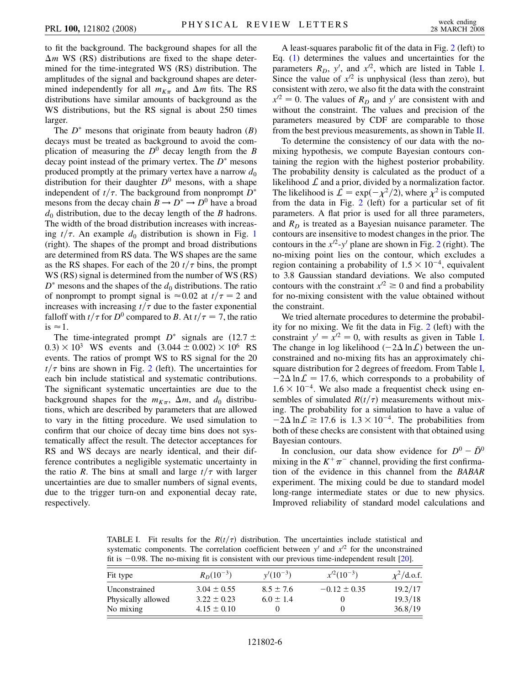to fit the background. The background shapes for all the  $\Delta m$  WS (RS) distributions are fixed to the shape determined for the time-integrated WS (RS) distribution. The amplitudes of the signal and background shapes are determined independently for all  $m_{K_{\pi}}$  and  $\Delta m$  fits. The RS distributions have similar amounts of background as the WS distributions, but the RS signal is about 250 times larger.

The  $D^*$  mesons that originate from beauty hadron  $(B)$ decays must be treated as background to avoid the complication of measuring the  $D^0$  decay length from the *B* decay point instead of the primary vertex. The  $D^*$  mesons produced promptly at the primary vertex have a narrow  $d_0$ distribution for their daughter  $D^0$  mesons, with a shape independent of  $t/\tau$ . The background from nonprompt  $D^*$ mesons from the decay chain  $B \to D^* \to D^0$  have a broad  $d_0$  distribution, due to the decay length of the *B* hadrons. The width of the broad distribution increases with increasing  $t/\tau$ . An example  $d_0$  distribution is shown in Fig. [1](#page-6-0) (right). The shapes of the prompt and broad distributions are determined from RS data. The WS shapes are the same as the RS shapes. For each of the 20  $t/\tau$  bins, the prompt WS (RS) signal is determined from the number of WS (RS)  $D^*$  mesons and the shapes of the  $d_0$  distributions. The ratio of nonprompt to prompt signal is  $\approx 0.02$  at  $t/\tau = 2$  and increases with increasing  $t/\tau$  due to the faster exponential falloff with  $t/\tau$  for  $D^0$  compared to *B*. At  $t/\tau = 7$ , the ratio is  $\approx$  1.

The time-integrated prompt  $D^*$  signals are  $(12.7 \pm$  $(0.3) \times 10^3$  WS events and  $(3.044 \pm 0.002) \times 10^6$  RS events. The ratios of prompt WS to RS signal for the 20  $t/\tau$  bins are shown in Fig. [2](#page-6-1) (left). The uncertainties for each bin include statistical and systematic contributions. The significant systematic uncertainties are due to the background shapes for the  $m_{K_{\pi}}$ ,  $\Delta m$ , and  $d_0$  distributions, which are described by parameters that are allowed to vary in the fitting procedure. We used simulation to confirm that our choice of decay time bins does not systematically affect the result. The detector acceptances for RS and WS decays are nearly identical, and their difference contributes a negligible systematic uncertainty in the ratio *R*. The bins at small and large  $t/\tau$  with larger uncertainties are due to smaller numbers of signal events, due to the trigger turn-on and exponential decay rate, respectively.

A least-squares parabolic fit of the data in Fig. [2](#page-6-1) (left) to Eq. ([1\)](#page-5-0) determines the values and uncertainties for the parameters  $R_D$ ,  $y'$ , and  $x'^2$ , which are listed in Table [I](#page-7-0). Since the value of  $x^{2}$  is unphysical (less than zero), but consistent with zero, we also fit the data with the constraint  $x^{2} = 0$ . The values of  $R_D$  and  $y'$  are consistent with and without the constraint. The values and precision of the parameters measured by CDF are comparable to those from the best previous measurements, as shown in Table [II](#page-8-39).

To determine the consistency of our data with the nomixing hypothesis, we compute Bayesian contours containing the region with the highest posterior probability. The probability density is calculated as the product of a likelihood  $\mathcal L$  and a prior, divided by a normalization factor. The likelihood is  $\mathcal{L} = \exp(-\chi^2/2)$ , where  $\chi^2$  is computed from the data in Fig. [2](#page-6-1) (left) for a particular set of fit parameters. A flat prior is used for all three parameters, and  $R<sub>D</sub>$  is treated as a Bayesian nuisance parameter. The contours are insensitive to modest changes in the prior. The contours in the  $x^{2}-y^{2}$  $x^{2}-y^{2}$  $x^{2}-y^{2}$  plane are shown in Fig. 2 (right). The no-mixing point lies on the contour, which excludes a region containing a probability of  $1.5 \times 10^{-4}$ , equivalent to 3.8 Gaussian standard deviations. We also computed contours with the constraint  $x^{2} \ge 0$  and find a probability for no-mixing consistent with the value obtained without the constraint.

We tried alternate procedures to determine the probability for no mixing. We fit the data in Fig. [2](#page-6-1) (left) with the constraint  $y' = x'^2 = 0$ , with results as given in Table [I](#page-7-0). The change in log likelihood  $(-2\Delta \ln \mathcal{L})$  between the unconstrained and no-mixing fits has an approximately chisquare distribution for 2 degrees of freedom. From Table [I](#page-7-0),  $-2\Delta \ln \mathcal{L} = 17.6$ , which corresponds to a probability of  $1.6 \times 10^{-4}$ . We also made a frequentist check using ensembles of simulated  $R(t/\tau)$  measurements without mixing. The probability for a simulation to have a value of  $-2\Delta \ln \mathcal{L} \ge 17.6$  is  $1.3 \times 10^{-4}$ . The probabilities from both of these checks are consistent with that obtained using Bayesian contours.

In conclusion, our data show evidence for  $D^0 - \bar{D}^0$ mixing in the  $K^+\pi^-$  channel, providing the first confirmation of the evidence in this channel from the *BABAR* experiment. The mixing could be due to standard model long-range intermediate states or due to new physics. Improved reliability of standard model calculations and

<span id="page-7-0"></span>TABLE I. Fit results for the  $R(t/\tau)$  distribution. The uncertainties include statistical and systematic components. The correlation coefficient between  $y'$  and  $x'^2$  for the unconstrained fit is  $-0.98$ . The no-mixing fit is consistent with our previous time-independent result [\[20\]](#page-8-37).

| Fit type           | $R_D(10^{-3})$  | $y'(10^{-3})$ | $x^{2}(10^{-3})$ | $\chi^2$ /d.o.f. |
|--------------------|-----------------|---------------|------------------|------------------|
| Unconstrained      | $3.04 \pm 0.55$ | $8.5 \pm 7.6$ | $-0.12 \pm 0.35$ | 19.2/17          |
| Physically allowed | $3.22 \pm 0.23$ | $6.0 \pm 1.4$ |                  | 19.3/18          |
| No mixing          | $4.15 \pm 0.10$ |               |                  | 36.8/19          |